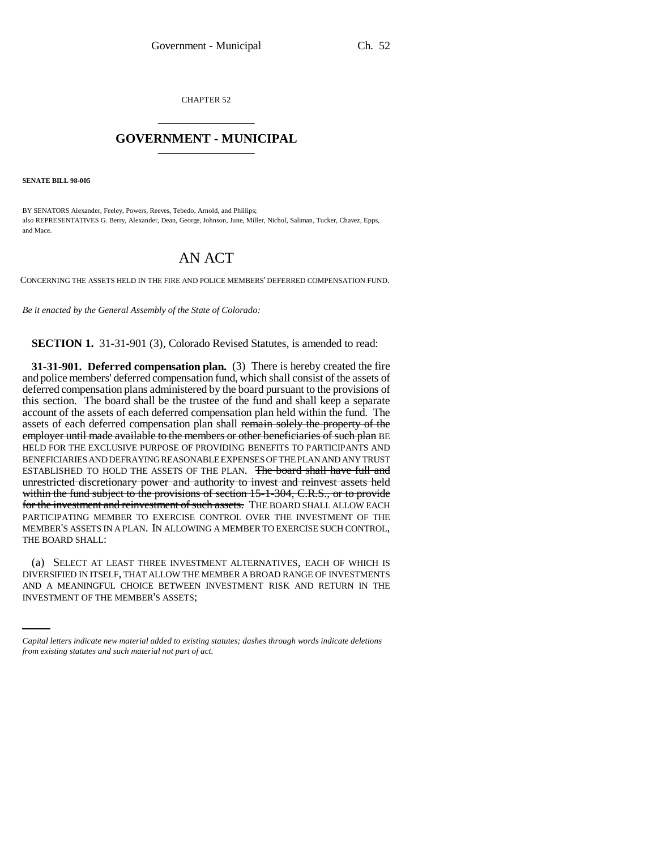CHAPTER 52 \_\_\_\_\_\_\_\_\_\_\_\_\_\_\_

## **GOVERNMENT - MUNICIPAL** \_\_\_\_\_\_\_\_\_\_\_\_\_\_\_

**SENATE BILL 98-005**

BY SENATORS Alexander, Feeley, Powers, Reeves, Tebedo, Arnold, and Phillips; also REPRESENTATIVES G. Berry, Alexander, Dean, George, Johnson, June, Miller, Nichol, Saliman, Tucker, Chavez, Epps, and Mace.

## AN ACT

CONCERNING THE ASSETS HELD IN THE FIRE AND POLICE MEMBERS' DEFERRED COMPENSATION FUND.

*Be it enacted by the General Assembly of the State of Colorado:*

**SECTION 1.** 31-31-901 (3), Colorado Revised Statutes, is amended to read:

**31-31-901. Deferred compensation plan.** (3) There is hereby created the fire and police members' deferred compensation fund, which shall consist of the assets of deferred compensation plans administered by the board pursuant to the provisions of this section. The board shall be the trustee of the fund and shall keep a separate account of the assets of each deferred compensation plan held within the fund. The assets of each deferred compensation plan shall remain solely the property of the employer until made available to the members or other beneficiaries of such plan BE HELD FOR THE EXCLUSIVE PURPOSE OF PROVIDING BENEFITS TO PARTICIPANTS AND BENEFICIARIES AND DEFRAYING REASONABLE EXPENSES OF THE PLAN AND ANY TRUST ESTABLISHED TO HOLD THE ASSETS OF THE PLAN. The board shall have full and unrestricted discretionary power and authority to invest and reinvest assets held within the fund subject to the provisions of section 15-1-304, C.R.S., or to provide for the investment and reinvestment of such assets. THE BOARD SHALL ALLOW EACH PARTICIPATING MEMBER TO EXERCISE CONTROL OVER THE INVESTMENT OF THE MEMBER'S ASSETS IN A PLAN. IN ALLOWING A MEMBER TO EXERCISE SUCH CONTROL, THE BOARD SHALL:

DIVERSIFIED IN ITSELF, THAT ALLOW THE MEMBER A BROAD RANGE OF INVESTMENTS (a) SELECT AT LEAST THREE INVESTMENT ALTERNATIVES, EACH OF WHICH IS AND A MEANINGFUL CHOICE BETWEEN INVESTMENT RISK AND RETURN IN THE INVESTMENT OF THE MEMBER'S ASSETS;

*Capital letters indicate new material added to existing statutes; dashes through words indicate deletions from existing statutes and such material not part of act.*